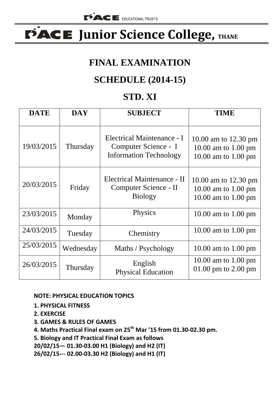# **FACE** Junior Science College, THANE

#### **FINAL EXAMINATION**

## **SCHEDULE (2014-15)**

#### **STD. XI**

| <b>DATE</b> | <b>DAY</b> | <b>SUBJECT</b>                                                                      | TIME                                                               |
|-------------|------------|-------------------------------------------------------------------------------------|--------------------------------------------------------------------|
| 19/03/2015  | Thursday   | Electrical Maintenance - I<br>Computer Science - I<br><b>Information Technology</b> | 10.00 am to 12.30 pm<br>10.00 am to 1.00 pm<br>10.00 am to 1.00 pm |
| 20/03/2015  | Friday     | Electrical Maintenance - II<br>Computer Science - II<br><b>Biology</b>              | 10.00 am to 12.30 pm<br>10.00 am to 1.00 pm<br>10.00 am to 1.00 pm |
| 23/03/2015  | Monday     | Physics                                                                             | 10.00 am to 1.00 pm                                                |
| 24/03/2015  | Tuesday    | Chemistry                                                                           | 10.00 am to 1.00 pm                                                |
| 25/03/2015  | Wednesday  | Maths / Psychology                                                                  | 10.00 am to 1.00 pm                                                |
| 26/03/2015  | Thursday   | English<br><b>Physical Education</b>                                                | 10.00 am to 1.00 pm<br>01.00 pm to $2.00$ pm                       |

#### **NOTE: PHYSICAL EDUCATION TOPICS**

- **1. PHYSICAL FITNESS**
- **2. EXERCISE**
- **3. GAMES & RULES OF GAMES**
- **4. Maths Practical Final exam on 25th Mar '15 from 01.30-02.30 pm.**

**5. Biology and IT Practical Final Exam as follows**

**20/02/15— 01.30-03.00 H1 (Biology) and H2 (IT)**

**26/02/15--- 02.00-03.30 H2 (Biology) and H1 (IT)**